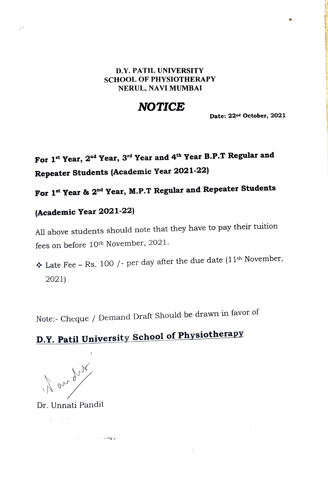#### D.Y. PATIL UNIVERSITY SCHOOL OF PHYSIOTHERAPY NERUL, NAVI MUMBAI

## **NOTICE**

Date: 22nd October, 2021

# For 1<sup>st</sup> Year, 2<sup>nd</sup> Year, 3<sup>rd</sup> Year and 4<sup>th</sup> Year B.P.T Regular and Repeater Students (Academic Year 2021-22)

## For 1<sup>st</sup> Year & 2<sup>nd</sup> Year, M.P.T Regular and Repeater Students

### (Academic Year 2021-22)

All above students should note that they have to pay their tuition fees on before 10<sup>th</sup> November, 2021.

❖ Late Fee – Rs. 100 / - per day after the due date  $(11<sup>th</sup>$  November, 2021)

 $\frac{1}{\pi}$ 

Note:- Cheque / Demand Draft Should be drawn in favor of

# D.Y. Patil University School of Physiotherapy

Mary My

Dr. Unnati Pandit

م ال<mark>ي الم المستقطعة الم</mark>قومة المستقطعة المستقطعة المستقطعة المستقطعة المستقطعة المستقطعة المستقطعة المستقطعة ال

 $\label{eq:Ricci} \mathcal{R}(\mathbf{y}_t) = \{y_{t,i}^{(t+1)} \mathcal{R}^{(t+1)}\}$